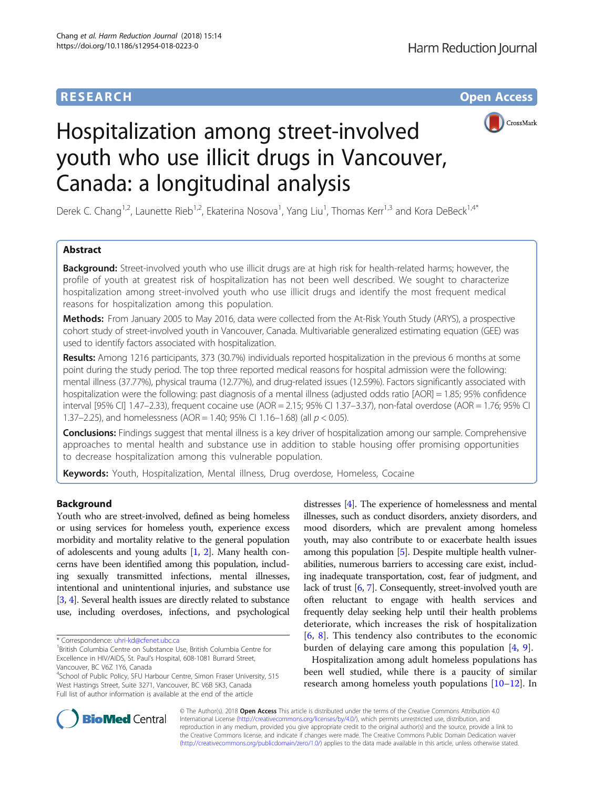# **RESEARCH CHE Open Access**



# Hospitalization among street-involved youth who use illicit drugs in Vancouver, Canada: a longitudinal analysis

Derek C. Chang<sup>1,2</sup>, Launette Rieb<sup>1,2</sup>, Ekaterina Nosova<sup>1</sup>, Yang Liu<sup>1</sup>, Thomas Kerr<sup>1,3</sup> and Kora DeBeck<sup>1,4\*</sup>

# Abstract

**Background:** Street-involved youth who use illicit drugs are at high risk for health-related harms; however, the profile of youth at greatest risk of hospitalization has not been well described. We sought to characterize hospitalization among street-involved youth who use illicit drugs and identify the most frequent medical reasons for hospitalization among this population.

Methods: From January 2005 to May 2016, data were collected from the At-Risk Youth Study (ARYS), a prospective cohort study of street-involved youth in Vancouver, Canada. Multivariable generalized estimating equation (GEE) was used to identify factors associated with hospitalization.

Results: Among 1216 participants, 373 (30.7%) individuals reported hospitalization in the previous 6 months at some point during the study period. The top three reported medical reasons for hospital admission were the following: mental illness (37.77%), physical trauma (12.77%), and drug-related issues (12.59%). Factors significantly associated with hospitalization were the following: past diagnosis of a mental illness (adjusted odds ratio [AOR] = 1.85; 95% confidence interval [95% CI] 1.47–2.33), frequent cocaine use (AOR = 2.15; 95% CI 1.37–3.37), non-fatal overdose (AOR = 1.76; 95% CI 1.37–2.25), and homelessness (AOR = 1.40; 95% CI 1.16–1.68) (all  $p < 0.05$ ).

**Conclusions:** Findings suggest that mental illness is a key driver of hospitalization among our sample. Comprehensive approaches to mental health and substance use in addition to stable housing offer promising opportunities to decrease hospitalization among this vulnerable population.

Keywords: Youth, Hospitalization, Mental illness, Drug overdose, Homeless, Cocaine

# Background

Youth who are street-involved, defined as being homeless or using services for homeless youth, experience excess morbidity and mortality relative to the general population of adolescents and young adults  $[1, 2]$  $[1, 2]$  $[1, 2]$  $[1, 2]$  $[1, 2]$ . Many health concerns have been identified among this population, including sexually transmitted infections, mental illnesses, intentional and unintentional injuries, and substance use [[3](#page-4-0), [4\]](#page-4-0). Several health issues are directly related to substance use, including overdoses, infections, and psychological

<sup>4</sup>School of Public Policy, SFU Harbour Centre, Simon Fraser University, 515 West Hastings Street, Suite 3271, Vancouver, BC V6B 5K3, Canada Full list of author information is available at the end of the article

distresses [\[4\]](#page-4-0). The experience of homelessness and mental illnesses, such as conduct disorders, anxiety disorders, and mood disorders, which are prevalent among homeless youth, may also contribute to or exacerbate health issues among this population [\[5\]](#page-4-0). Despite multiple health vulnerabilities, numerous barriers to accessing care exist, including inadequate transportation, cost, fear of judgment, and lack of trust  $[6, 7]$  $[6, 7]$  $[6, 7]$ . Consequently, street-involved youth are often reluctant to engage with health services and frequently delay seeking help until their health problems deteriorate, which increases the risk of hospitalization  $[6, 8]$  $[6, 8]$  $[6, 8]$  $[6, 8]$  $[6, 8]$ . This tendency also contributes to the economic burden of delaying care among this population [\[4](#page-4-0), [9](#page-4-0)].

Hospitalization among adult homeless populations has been well studied, while there is a paucity of similar research among homeless youth populations [[10](#page-4-0)–[12](#page-4-0)]. In



© The Author(s). 2018 Open Access This article is distributed under the terms of the Creative Commons Attribution 4.0 International License [\(http://creativecommons.org/licenses/by/4.0/](http://creativecommons.org/licenses/by/4.0/)), which permits unrestricted use, distribution, and reproduction in any medium, provided you give appropriate credit to the original author(s) and the source, provide a link to the Creative Commons license, and indicate if changes were made. The Creative Commons Public Domain Dedication waiver [\(http://creativecommons.org/publicdomain/zero/1.0/](http://creativecommons.org/publicdomain/zero/1.0/)) applies to the data made available in this article, unless otherwise stated.

<sup>\*</sup> Correspondence: [uhri-kd@cfenet.ubc.ca](mailto:uhri-kd@cfenet.ubc.ca) <sup>1</sup>

<sup>&</sup>lt;sup>1</sup>British Columbia Centre on Substance Use, British Columbia Centre for Excellence in HIV/AIDS, St. Paul's Hospital, 608-1081 Burrard Street, Vancouver, BC V6Z 1Y6, Canada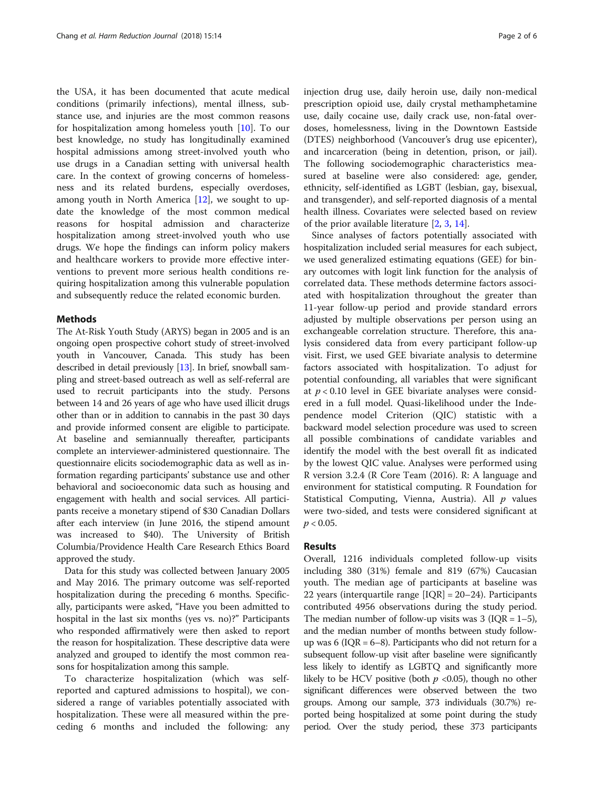the USA, it has been documented that acute medical conditions (primarily infections), mental illness, substance use, and injuries are the most common reasons for hospitalization among homeless youth [\[10\]](#page-4-0). To our best knowledge, no study has longitudinally examined hospital admissions among street-involved youth who use drugs in a Canadian setting with universal health care. In the context of growing concerns of homelessness and its related burdens, especially overdoses, among youth in North America [\[12](#page-4-0)], we sought to update the knowledge of the most common medical reasons for hospital admission and characterize hospitalization among street-involved youth who use drugs. We hope the findings can inform policy makers and healthcare workers to provide more effective interventions to prevent more serious health conditions requiring hospitalization among this vulnerable population and subsequently reduce the related economic burden.

# Methods

The At-Risk Youth Study (ARYS) began in 2005 and is an ongoing open prospective cohort study of street-involved youth in Vancouver, Canada. This study has been described in detail previously [\[13\]](#page-4-0). In brief, snowball sampling and street-based outreach as well as self-referral are used to recruit participants into the study. Persons between 14 and 26 years of age who have used illicit drugs other than or in addition to cannabis in the past 30 days and provide informed consent are eligible to participate. At baseline and semiannually thereafter, participants complete an interviewer-administered questionnaire. The questionnaire elicits sociodemographic data as well as information regarding participants' substance use and other behavioral and socioeconomic data such as housing and engagement with health and social services. All participants receive a monetary stipend of \$30 Canadian Dollars after each interview (in June 2016, the stipend amount was increased to \$40). The University of British Columbia/Providence Health Care Research Ethics Board approved the study.

Data for this study was collected between January 2005 and May 2016. The primary outcome was self-reported hospitalization during the preceding 6 months. Specifically, participants were asked, "Have you been admitted to hospital in the last six months (yes vs. no)?" Participants who responded affirmatively were then asked to report the reason for hospitalization. These descriptive data were analyzed and grouped to identify the most common reasons for hospitalization among this sample.

To characterize hospitalization (which was selfreported and captured admissions to hospital), we considered a range of variables potentially associated with hospitalization. These were all measured within the preceding 6 months and included the following: any injection drug use, daily heroin use, daily non-medical prescription opioid use, daily crystal methamphetamine use, daily cocaine use, daily crack use, non-fatal overdoses, homelessness, living in the Downtown Eastside (DTES) neighborhood (Vancouver's drug use epicenter), and incarceration (being in detention, prison, or jail). The following sociodemographic characteristics measured at baseline were also considered: age, gender, ethnicity, self-identified as LGBT (lesbian, gay, bisexual, and transgender), and self-reported diagnosis of a mental health illness. Covariates were selected based on review of the prior available literature [[2,](#page-4-0) [3,](#page-4-0) [14\]](#page-4-0).

Since analyses of factors potentially associated with hospitalization included serial measures for each subject, we used generalized estimating equations (GEE) for binary outcomes with logit link function for the analysis of correlated data. These methods determine factors associated with hospitalization throughout the greater than 11-year follow-up period and provide standard errors adjusted by multiple observations per person using an exchangeable correlation structure. Therefore, this analysis considered data from every participant follow-up visit. First, we used GEE bivariate analysis to determine factors associated with hospitalization. To adjust for potential confounding, all variables that were significant at  $p < 0.10$  level in GEE bivariate analyses were considered in a full model. Quasi-likelihood under the Independence model Criterion (QIC) statistic with a backward model selection procedure was used to screen all possible combinations of candidate variables and identify the model with the best overall fit as indicated by the lowest QIC value. Analyses were performed using R version 3.2.4 (R Core Team (2016). R: A language and environment for statistical computing. R Foundation for Statistical Computing, Vienna, Austria). All  $p$  values were two-sided, and tests were considered significant at  $p < 0.05$ .

## Results

Overall, 1216 individuals completed follow-up visits including 380 (31%) female and 819 (67%) Caucasian youth. The median age of participants at baseline was 22 years (interquartile range [IQR] = 20–24). Participants contributed 4956 observations during the study period. The median number of follow-up visits was  $3$  (IQR = 1–5), and the median number of months between study followup was 6 (IQR =  $6-8$ ). Participants who did not return for a subsequent follow-up visit after baseline were significantly less likely to identify as LGBTQ and significantly more likely to be HCV positive (both  $p$  <0.05), though no other significant differences were observed between the two groups. Among our sample, 373 individuals (30.7%) reported being hospitalized at some point during the study period. Over the study period, these 373 participants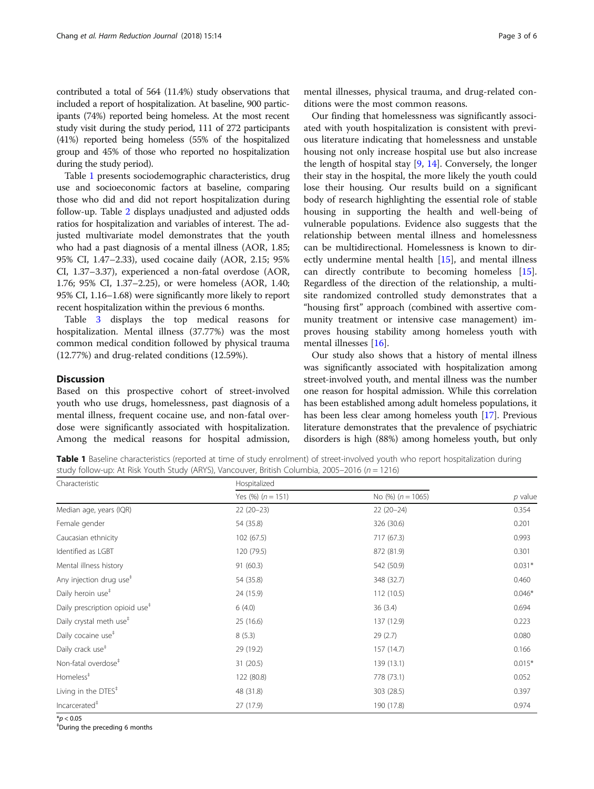contributed a total of 564 (11.4%) study observations that included a report of hospitalization. At baseline, 900 participants (74%) reported being homeless. At the most recent study visit during the study period, 111 of 272 participants (41%) reported being homeless (55% of the hospitalized group and 45% of those who reported no hospitalization during the study period).

Table 1 presents sociodemographic characteristics, drug use and socioeconomic factors at baseline, comparing those who did and did not report hospitalization during follow-up. Table [2](#page-3-0) displays unadjusted and adjusted odds ratios for hospitalization and variables of interest. The adjusted multivariate model demonstrates that the youth who had a past diagnosis of a mental illness (AOR, 1.85; 95% CI, 1.47–2.33), used cocaine daily (AOR, 2.15; 95% CI, 1.37–3.37), experienced a non-fatal overdose (AOR, 1.76; 95% CI, 1.37–2.25), or were homeless (AOR, 1.40; 95% CI, 1.16–1.68) were significantly more likely to report recent hospitalization within the previous 6 months.

Table [3](#page-3-0) displays the top medical reasons for hospitalization. Mental illness (37.77%) was the most common medical condition followed by physical trauma (12.77%) and drug-related conditions (12.59%).

# **Discussion**

Based on this prospective cohort of street-involved youth who use drugs, homelessness, past diagnosis of a mental illness, frequent cocaine use, and non-fatal overdose were significantly associated with hospitalization. Among the medical reasons for hospital admission,

Our finding that homelessness was significantly associated with youth hospitalization is consistent with previous literature indicating that homelessness and unstable housing not only increase hospital use but also increase the length of hospital stay [\[9,](#page-4-0) [14](#page-4-0)]. Conversely, the longer their stay in the hospital, the more likely the youth could lose their housing. Our results build on a significant body of research highlighting the essential role of stable housing in supporting the health and well-being of vulnerable populations. Evidence also suggests that the relationship between mental illness and homelessness can be multidirectional. Homelessness is known to dir-ectly undermine mental health [\[15](#page-4-0)], and mental illness can directly contribute to becoming homeless [\[15](#page-4-0)]. Regardless of the direction of the relationship, a multisite randomized controlled study demonstrates that a "housing first" approach (combined with assertive community treatment or intensive case management) improves housing stability among homeless youth with mental illnesses [\[16\]](#page-4-0).

Our study also shows that a history of mental illness was significantly associated with hospitalization among street-involved youth, and mental illness was the number one reason for hospital admission. While this correlation has been established among adult homeless populations, it has been less clear among homeless youth [[17](#page-4-0)]. Previous literature demonstrates that the prevalence of psychiatric disorders is high (88%) among homeless youth, but only

Table 1 Baseline characteristics (reported at time of study enrolment) of street-involved youth who report hospitalization during study follow-up: At Risk Youth Study (ARYS), Vancouver, British Columbia, 2005–2016 (n = 1216)

| Characteristic                             | Hospitalized         |                      |           |
|--------------------------------------------|----------------------|----------------------|-----------|
|                                            | Yes $(\%) (n = 151)$ | No $(\%) (n = 1065)$ | $p$ value |
| Median age, years (IQR)                    | $22(20-23)$          | $22(20-24)$          | 0.354     |
| Female gender                              | 54 (35.8)            | 326 (30.6)           | 0.201     |
| Caucasian ethnicity                        | 102 (67.5)           | 717 (67.3)           | 0.993     |
| Identified as LGBT                         | 120 (79.5)           | 872 (81.9)           | 0.301     |
| Mental illness history                     | 91 (60.3)            | 542 (50.9)           | $0.031*$  |
| Any injection drug use <sup>#</sup>        | 54 (35.8)            | 348 (32.7)           | 0.460     |
| Daily heroin use <sup>#</sup>              | 24 (15.9)            | 112 (10.5)           | $0.046*$  |
| Daily prescription opioid use <sup>#</sup> | 6(4.0)               | 36(3.4)              | 0.694     |
| Daily crystal meth use <sup>#</sup>        | 25(16.6)             | 137 (12.9)           | 0.223     |
| Daily cocaine use <sup>#</sup>             | 8(5.3)               | 29(2.7)              | 0.080     |
| Daily crack use <sup>#</sup>               | 29 (19.2)            | 157 (14.7)           | 0.166     |
| Non-fatal overdose <sup>#</sup>            | 31 (20.5)            | 139 (13.1)           | $0.015*$  |
| Homeless <sup>#</sup>                      | 122 (80.8)           | 778 (73.1)           | 0.052     |
| Living in the DTES <sup>‡</sup>            | 48 (31.8)            | 303 (28.5)           | 0.397     |
| Incarcerated <sup>#</sup>                  | 27 (17.9)            | 190 (17.8)           | 0.974     |

 $*p < 0.05$ 

During the preceding 6 months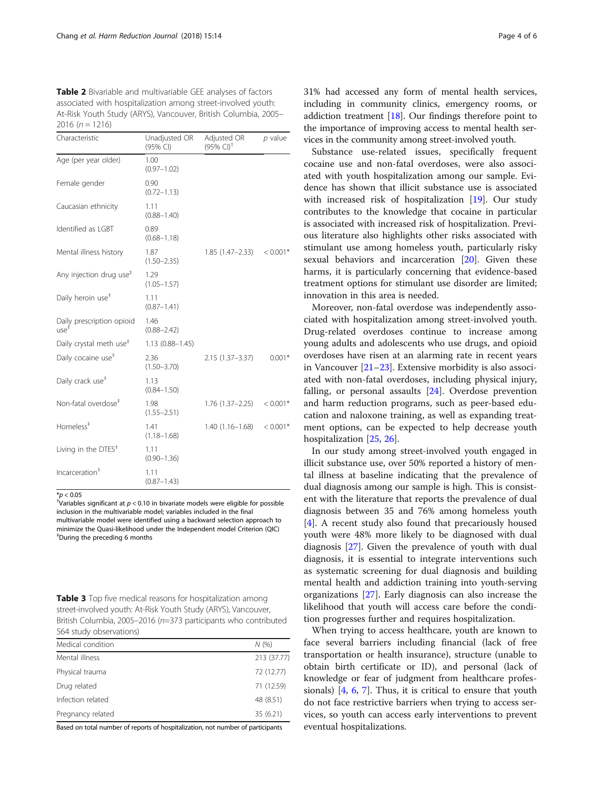<span id="page-3-0"></span>Table 2 Bivariable and multivariable GEE analyses of factors associated with hospitalization among street-involved youth: At-Risk Youth Study (ARYS), Vancouver, British Columbia, 2005–  $2016 (n = 1216)$ 

| Characteristic                                | Unadjusted OR<br>(95% CI) | Adjusted OR<br>$(95\%$ CI) <sup>†</sup> | $p$ value  |
|-----------------------------------------------|---------------------------|-----------------------------------------|------------|
| Age (per year older)                          | 1.00<br>$(0.97 - 1.02)$   |                                         |            |
| Female gender                                 | 0.90<br>$(0.72 - 1.13)$   |                                         |            |
| Caucasian ethnicity                           | 1.11<br>$(0.88 - 1.40)$   |                                         |            |
| Identified as LGBT                            | 0.89<br>$(0.68 - 1.18)$   |                                         |            |
| Mental illness history                        | 1.87<br>$(1.50 - 2.35)$   | $1.85(1.47 - 2.33)$                     | $< 0.001*$ |
| Any injection drug use <sup>#</sup>           | 1.29<br>$(1.05 - 1.57)$   |                                         |            |
| Daily heroin use <sup>#</sup>                 | 1.11<br>$(0.87 - 1.41)$   |                                         |            |
| Daily prescription opioid<br>$use^{\ddagger}$ | 1.46<br>$(0.88 - 2.42)$   |                                         |            |
| Daily crystal meth use <sup>#</sup>           | $1.13(0.88 - 1.45)$       |                                         |            |
| Daily cocaine use <sup>#</sup>                | 2.36<br>$(1.50 - 3.70)$   | $2.15(1.37 - 3.37)$                     | $0.001*$   |
| Daily crack use <sup>#</sup>                  | 1.13<br>$(0.84 - 1.50)$   |                                         |            |
| Non-fatal overdose <sup>#</sup>               | 1.98<br>$(1.55 - 2.51)$   | $1.76(1.37 - 2.25)$                     | $< 0.001*$ |
| Homeless <sup>#</sup>                         | 1.41<br>$(1.18 - 1.68)$   | $1.40(1.16 - 1.68)$                     | $< 0.001*$ |
| Living in the DTES <sup>#</sup>               | 1.11<br>$(0.90 - 1.36)$   |                                         |            |
| Incarceration <sup>#</sup>                    | 1.11<br>$(0.87 - 1.43)$   |                                         |            |

 $*p < 0.05$ 

<sup>†</sup>Variables significant at  $p < 0.10$  in bivariate models were eligible for possible inclusion in the multivariable model; variables included in the final multivariable model were identified using a backward selection approach to minimize the Quasi-likelihood under the Independent model Criterion (QIC) ‡ During the preceding 6 months

Table 3 Top five medical reasons for hospitalization among street-involved youth: At-Risk Youth Study (ARYS), Vancouver, British Columbia, 2005–2016 (n=373 participants who contributed 564 study observations)

| Medical condition | N(%         |
|-------------------|-------------|
| Mental illness    | 213 (37.77) |
| Physical trauma   | 72 (12.77)  |
| Drug related      | 71 (12.59)  |
| Infection related | 48 (8.51)   |
| Pregnancy related | 35 (6.21)   |

Based on total number of reports of hospitalization, not number of participants

31% had accessed any form of mental health services, including in community clinics, emergency rooms, or addiction treatment [[18](#page-4-0)]. Our findings therefore point to the importance of improving access to mental health services in the community among street-involved youth.

Substance use-related issues, specifically frequent cocaine use and non-fatal overdoses, were also associated with youth hospitalization among our sample. Evidence has shown that illicit substance use is associated with increased risk of hospitalization [\[19\]](#page-5-0). Our study contributes to the knowledge that cocaine in particular is associated with increased risk of hospitalization. Previous literature also highlights other risks associated with stimulant use among homeless youth, particularly risky sexual behaviors and incarceration [[20](#page-5-0)]. Given these harms, it is particularly concerning that evidence-based treatment options for stimulant use disorder are limited; innovation in this area is needed.

Moreover, non-fatal overdose was independently associated with hospitalization among street-involved youth. Drug-related overdoses continue to increase among young adults and adolescents who use drugs, and opioid overdoses have risen at an alarming rate in recent years in Vancouver [[21](#page-5-0)–[23\]](#page-5-0). Extensive morbidity is also associated with non-fatal overdoses, including physical injury, falling, or personal assaults [\[24](#page-5-0)]. Overdose prevention and harm reduction programs, such as peer-based education and naloxone training, as well as expanding treatment options, can be expected to help decrease youth hospitalization [[25](#page-5-0), [26](#page-5-0)].

In our study among street-involved youth engaged in illicit substance use, over 50% reported a history of mental illness at baseline indicating that the prevalence of dual diagnosis among our sample is high. This is consistent with the literature that reports the prevalence of dual diagnosis between 35 and 76% among homeless youth [[4\]](#page-4-0). A recent study also found that precariously housed youth were 48% more likely to be diagnosed with dual diagnosis [\[27](#page-5-0)]. Given the prevalence of youth with dual diagnosis, it is essential to integrate interventions such as systematic screening for dual diagnosis and building mental health and addiction training into youth-serving organizations [\[27](#page-5-0)]. Early diagnosis can also increase the likelihood that youth will access care before the condition progresses further and requires hospitalization.

When trying to access healthcare, youth are known to face several barriers including financial (lack of free transportation or health insurance), structure (unable to obtain birth certificate or ID), and personal (lack of knowledge or fear of judgment from healthcare professionals)  $[4, 6, 7]$  $[4, 6, 7]$  $[4, 6, 7]$  $[4, 6, 7]$  $[4, 6, 7]$  $[4, 6, 7]$ . Thus, it is critical to ensure that youth do not face restrictive barriers when trying to access services, so youth can access early interventions to prevent eventual hospitalizations.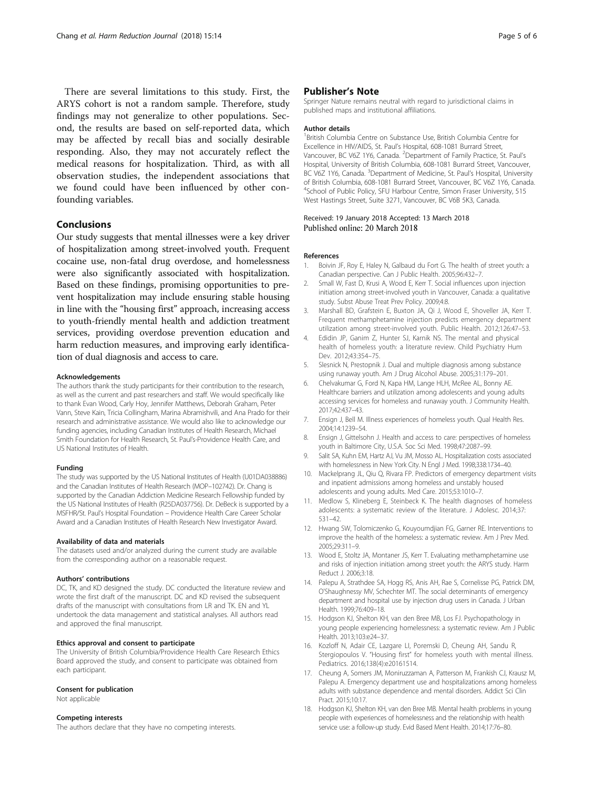<span id="page-4-0"></span>There are several limitations to this study. First, the ARYS cohort is not a random sample. Therefore, study findings may not generalize to other populations. Second, the results are based on self-reported data, which may be affected by recall bias and socially desirable responding. Also, they may not accurately reflect the medical reasons for hospitalization. Third, as with all observation studies, the independent associations that we found could have been influenced by other confounding variables.

## Conclusions

Our study suggests that mental illnesses were a key driver of hospitalization among street-involved youth. Frequent cocaine use, non-fatal drug overdose, and homelessness were also significantly associated with hospitalization. Based on these findings, promising opportunities to prevent hospitalization may include ensuring stable housing in line with the "housing first" approach, increasing access to youth-friendly mental health and addiction treatment services, providing overdose prevention education and harm reduction measures, and improving early identification of dual diagnosis and access to care.

#### Acknowledgements

The authors thank the study participants for their contribution to the research, as well as the current and past researchers and staff. We would specifically like to thank Evan Wood, Carly Hoy, Jennifer Matthews, Deborah Graham, Peter Vann, Steve Kain, Tricia Collingham, Marina Abramishvili, and Ana Prado for their research and administrative assistance. We would also like to acknowledge our funding agencies, including Canadian Institutes of Health Research, Michael Smith Foundation for Health Research, St. Paul's-Providence Health Care, and US National Institutes of Health.

#### Funding

The study was supported by the US National Institutes of Health (U01DA038886) and the Canadian Institutes of Health Research (MOP–102742). Dr. Chang is supported by the Canadian Addiction Medicine Research Fellowship funded by the US National Institutes of Health (R25DA037756). Dr. DeBeck is supported by a MSFHR/St. Paul's Hospital Foundation – Providence Health Care Career Scholar Award and a Canadian Institutes of Health Research New Investigator Award.

#### Availability of data and materials

The datasets used and/or analyzed during the current study are available from the corresponding author on a reasonable request.

#### Authors' contributions

DC, TK, and KD designed the study. DC conducted the literature review and wrote the first draft of the manuscript. DC and KD revised the subsequent drafts of the manuscript with consultations from LR and TK. EN and YL undertook the data management and statistical analyses. All authors read and approved the final manuscript.

#### Ethics approval and consent to participate

The University of British Columbia/Providence Health Care Research Ethics Board approved the study, and consent to participate was obtained from each participant.

### Consent for publication

Not applicable

# Competing interests

The authors declare that they have no competing interests.

## Publisher's Note

Springer Nature remains neutral with regard to jurisdictional claims in published maps and institutional affiliations.

#### Author details

1 British Columbia Centre on Substance Use, British Columbia Centre for Excellence in HIV/AIDS, St. Paul's Hospital, 608-1081 Burrard Street, Vancouver, BC V6Z 1Y6, Canada. <sup>2</sup> Department of Family Practice, St. Paul's Hospital, University of British Columbia, 608-1081 Burrard Street, Vancouver, BC V6Z 1Y6, Canada. <sup>3</sup>Department of Medicine, St. Paul's Hospital, University of British Columbia, 608-1081 Burrard Street, Vancouver, BC V6Z 1Y6, Canada. 4 School of Public Policy, SFU Harbour Centre, Simon Fraser University, 515 West Hastings Street, Suite 3271, Vancouver, BC V6B 5K3, Canada.

## Received: 19 January 2018 Accepted: 13 March 2018 Published online: 20 March 2018

#### References

- 1. Boivin JF, Roy E, Haley N, Galbaud du Fort G. The health of street youth: a Canadian perspective. Can J Public Health. 2005;96:432–7.
- 2. Small W, Fast D, Krusi A, Wood E, Kerr T. Social influences upon injection initiation among street-involved youth in Vancouver, Canada: a qualitative study. Subst Abuse Treat Prev Policy. 2009;4:8.
- 3. Marshall BD, Grafstein E, Buxton JA, Qi J, Wood E, Shoveller JA, Kerr T. Frequent methamphetamine injection predicts emergency department utilization among street-involved youth. Public Health. 2012;126:47–53.
- 4. Edidin JP, Ganim Z, Hunter SJ, Karnik NS. The mental and physical health of homeless youth: a literature review. Child Psychiatry Hum Dev. 2012;43:354–75.
- 5. Slesnick N, Prestopnik J. Dual and multiple diagnosis among substance using runaway youth. Am J Drug Alcohol Abuse. 2005;31:179–201.
- 6. Chelvakumar G, Ford N, Kapa HM, Lange HLH, McRee AL, Bonny AE. Healthcare barriers and utilization among adolescents and young adults accessing services for homeless and runaway youth. J Community Health. 2017;42:437–43.
- 7. Ensign J, Bell M. Illness experiences of homeless youth. Qual Health Res. 2004;14:1239–54.
- 8. Ensign J, Gittelsohn J. Health and access to care: perspectives of homeless youth in Baltimore City, U.S.A. Soc Sci Med. 1998;47:2087–99.
- 9. Salit SA, Kuhn EM, Hartz AJ, Vu JM, Mosso AL. Hospitalization costs associated with homelessness in New York City. N Engl J Med. 1998;338:1734–40.
- 10. Mackelprang JL, Qiu Q, Rivara FP. Predictors of emergency department visits and inpatient admissions among homeless and unstably housed adolescents and young adults. Med Care. 2015;53:1010–7.
- 11. Medlow S, Klineberg E, Steinbeck K. The health diagnoses of homeless adolescents: a systematic review of the literature. J Adolesc. 2014;37: 531–42.
- 12. Hwang SW, Tolomiczenko G, Kouyoumdjian FG, Garner RE. Interventions to improve the health of the homeless: a systematic review. Am J Prev Med. 2005;29:311–9.
- 13. Wood E, Stoltz JA, Montaner JS, Kerr T. Evaluating methamphetamine use and risks of injection initiation among street youth: the ARYS study. Harm Reduct J. 2006;3:18.
- 14. Palepu A, Strathdee SA, Hogg RS, Anis AH, Rae S, Cornelisse PG, Patrick DM, O'Shaughnessy MV, Schechter MT. The social determinants of emergency department and hospital use by injection drug users in Canada. J Urban Health. 1999;76:409–18.
- 15. Hodgson KJ, Shelton KH, van den Bree MB, Los FJ. Psychopathology in young people experiencing homelessness: a systematic review. Am J Public Health. 2013;103:e24–37.
- 16. Kozloff N, Adair CE, Lazgare LI, Poremski D, Cheung AH, Sandu R, Stergiopoulos V. "Housing first" for homeless youth with mental illness. Pediatrics. 2016;138(4):e20161514.
- 17. Cheung A, Somers JM, Moniruzzaman A, Patterson M, Frankish CJ, Krausz M, Palepu A. Emergency department use and hospitalizations among homeless adults with substance dependence and mental disorders. Addict Sci Clin Pract. 2015;10:17.
- 18. Hodgson KJ, Shelton KH, van den Bree MB. Mental health problems in young people with experiences of homelessness and the relationship with health service use: a follow-up study. Evid Based Ment Health. 2014;17:76–80.